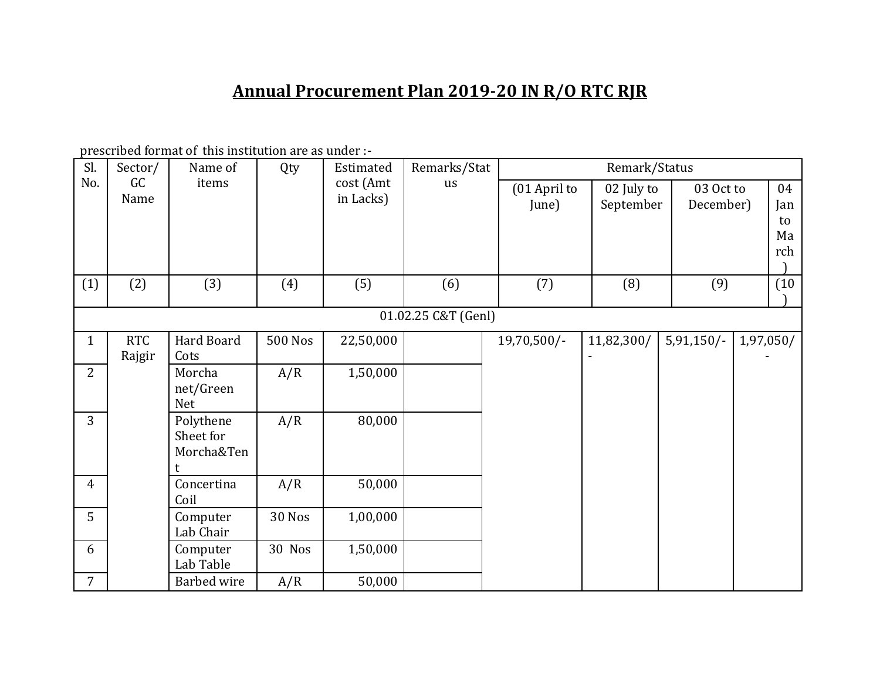## **Annual Procurement Plan 2019-20 IN R/O RTC RJR**

prescribed format of this institution are as under :-

| Sl.            | Sector/              | Name of                              | Qty            | Estimated              | Remarks/Stat        |                       | Remark/Status           |                        |                              |
|----------------|----------------------|--------------------------------------|----------------|------------------------|---------------------|-----------------------|-------------------------|------------------------|------------------------------|
| No.            | GC<br>Name           | items                                |                | cost (Amt<br>in Lacks) | us                  | (01 April to<br>June) | 02 July to<br>September | 03 Oct to<br>December) | 04<br>Jan<br>to<br>Ma<br>rch |
| (1)            | (2)                  | (3)                                  | (4)            | (5)                    | (6)                 | (7)                   | (8)                     | (9)                    | (10)                         |
|                |                      |                                      |                |                        | 01.02.25 C&T (Genl) |                       |                         |                        |                              |
| $\mathbf{1}$   | <b>RTC</b><br>Rajgir | Hard Board<br>Cots                   | <b>500 Nos</b> | 22,50,000              |                     | 19,70,500/-           | 11,82,300/              | $5,91,150/$ -          | 1,97,050/                    |
| 2              |                      | Morcha<br>net/Green<br><b>Net</b>    | A/R            | 1,50,000               |                     |                       |                         |                        |                              |
| $\overline{3}$ |                      | Polythene<br>Sheet for<br>Morcha&Ten | A/R            | 80,000                 |                     |                       |                         |                        |                              |
| $\overline{4}$ |                      | Concertina<br>Coil                   | A/R            | 50,000                 |                     |                       |                         |                        |                              |
| 5              |                      | Computer<br>Lab Chair                | <b>30 Nos</b>  | 1,00,000               |                     |                       |                         |                        |                              |
| 6              |                      | Computer<br>Lab Table                | 30 Nos         | 1,50,000               |                     |                       |                         |                        |                              |
| $\overline{7}$ |                      | <b>Barbed</b> wire                   | A/R            | 50,000                 |                     |                       |                         |                        |                              |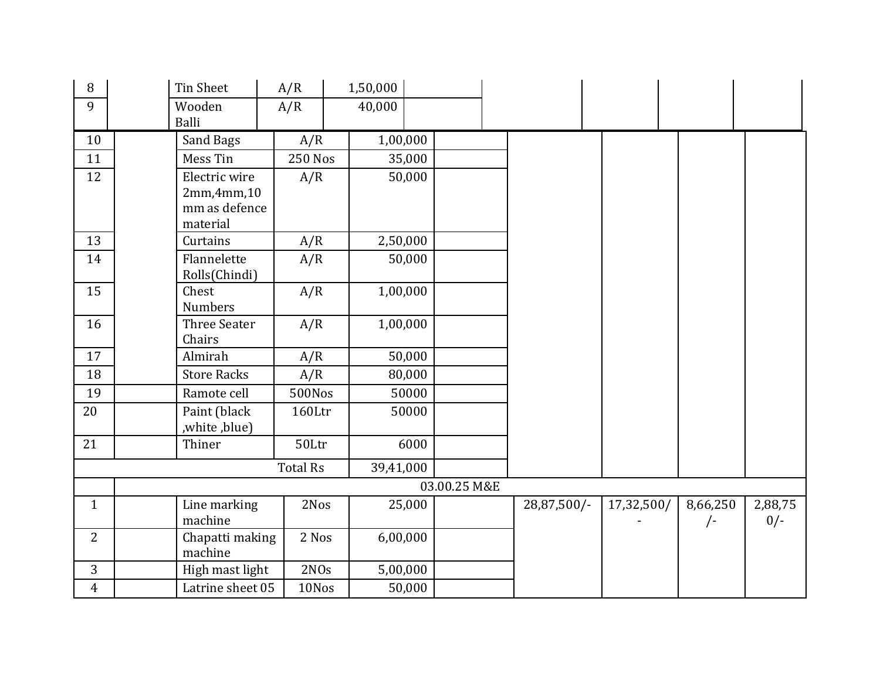| 8              | <b>Tin Sheet</b>             | A/R              | 1,50,000  |          |              |             |            |            |         |
|----------------|------------------------------|------------------|-----------|----------|--------------|-------------|------------|------------|---------|
| 9              | Wooden                       | A/R              | 40,000    |          |              |             |            |            |         |
|                | <b>Balli</b>                 |                  |           |          |              |             |            |            |         |
| 10             | Sand Bags                    | A/R              |           | 1,00,000 |              |             |            |            |         |
| 11             | Mess Tin                     | <b>250 Nos</b>   |           | 35,000   |              |             |            |            |         |
| 12             | Electric wire                | A/R              |           | 50,000   |              |             |            |            |         |
|                | 2mm,4mm,10                   |                  |           |          |              |             |            |            |         |
|                | mm as defence                |                  |           |          |              |             |            |            |         |
|                | material                     |                  |           |          |              |             |            |            |         |
| 13             | Curtains                     | A/R              |           | 2,50,000 |              |             |            |            |         |
| 14             | Flannelette<br>Rolls(Chindi) | A/R              |           | 50,000   |              |             |            |            |         |
| 15             | Chest<br>Numbers             | A/R              |           | 1,00,000 |              |             |            |            |         |
| 16             | Three Seater<br>Chairs       | A/R              |           | 1,00,000 |              |             |            |            |         |
| 17             | Almirah                      | A/R              |           | 50,000   |              |             |            |            |         |
| 18             | <b>Store Racks</b>           | A/R              |           | 80,000   |              |             |            |            |         |
| 19             | Ramote cell                  | 500Nos           |           | 50000    |              |             |            |            |         |
| 20             | Paint (black<br>,white,blue) | 160Ltr           |           | 50000    |              |             |            |            |         |
| 21             | Thiner                       | 50Ltr            |           | 6000     |              |             |            |            |         |
|                |                              | <b>Total Rs</b>  | 39,41,000 |          |              |             |            |            |         |
|                |                              |                  |           |          | 03.00.25 M&E |             |            |            |         |
| $\mathbf{1}$   | Line marking                 | 2Nos             |           | 25,000   |              | 28,87,500/- | 17,32,500/ | 8,66,250   | 2,88,75 |
|                | machine                      |                  |           |          |              |             |            | $\sqrt{-}$ | $0/-$   |
| 2              | Chapatti making<br>machine   | 2 Nos            |           | 6,00,000 |              |             |            |            |         |
| 3              | High mast light              | 2N <sub>Os</sub> |           | 5,00,000 |              |             |            |            |         |
| $\overline{4}$ | Latrine sheet 05             | 10Nos            |           | 50,000   |              |             |            |            |         |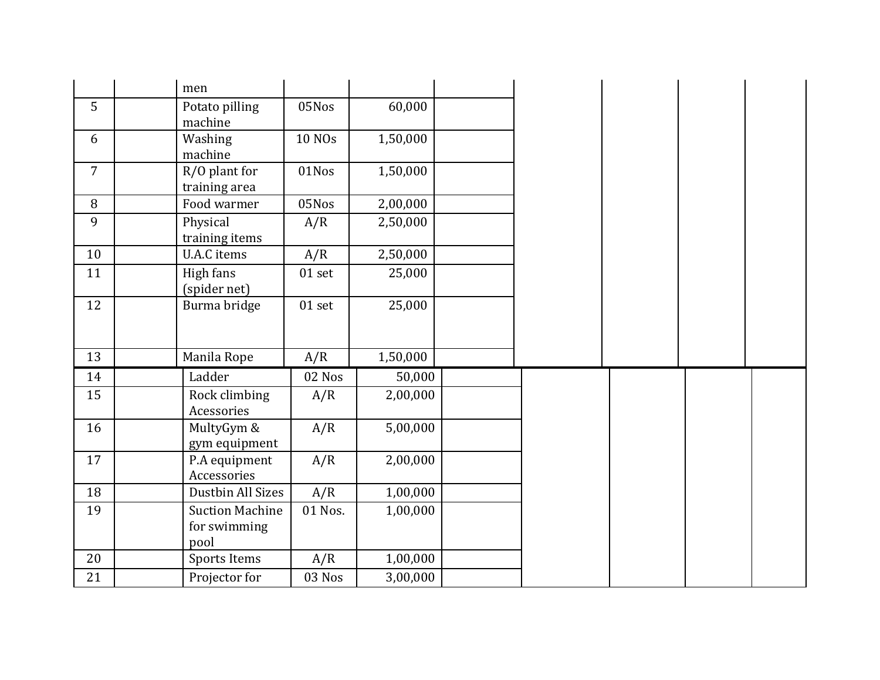|                | men                                    |          |          |  |  |  |
|----------------|----------------------------------------|----------|----------|--|--|--|
| 5              | Potato pilling<br>machine              | 05Nos    | 60,000   |  |  |  |
| 6              | Washing<br>machine                     | 10 NOs   | 1,50,000 |  |  |  |
| $\overline{7}$ | R/O plant for<br>training area         | 01Nos    | 1,50,000 |  |  |  |
| 8              | Food warmer                            | 05Nos    | 2,00,000 |  |  |  |
| 9              | Physical<br>training items             | A/R      | 2,50,000 |  |  |  |
| 10             | <b>U.A.C</b> items                     | A/R      | 2,50,000 |  |  |  |
| 11             | High fans<br>(spider net)              | $01$ set | 25,000   |  |  |  |
| 12             | Burma bridge                           | $01$ set | 25,000   |  |  |  |
| 13             | Manila Rope                            | A/R      | 1,50,000 |  |  |  |
| 14             | Ladder                                 | 02 Nos   | 50,000   |  |  |  |
| 15             | Rock climbing<br>Acessories            | A/R      | 2,00,000 |  |  |  |
| 16             | MultyGym &<br>gym equipment            | A/R      | 5,00,000 |  |  |  |
| 17             | P.A equipment<br>Accessories           | A/R      | 2,00,000 |  |  |  |
| 18             | Dustbin All Sizes                      | A/R      | 1,00,000 |  |  |  |
| 19             | <b>Suction Machine</b><br>for swimming | 01 Nos.  | 1,00,000 |  |  |  |
|                | pool                                   |          |          |  |  |  |
| 20             | Sports Items                           | A/R      | 1,00,000 |  |  |  |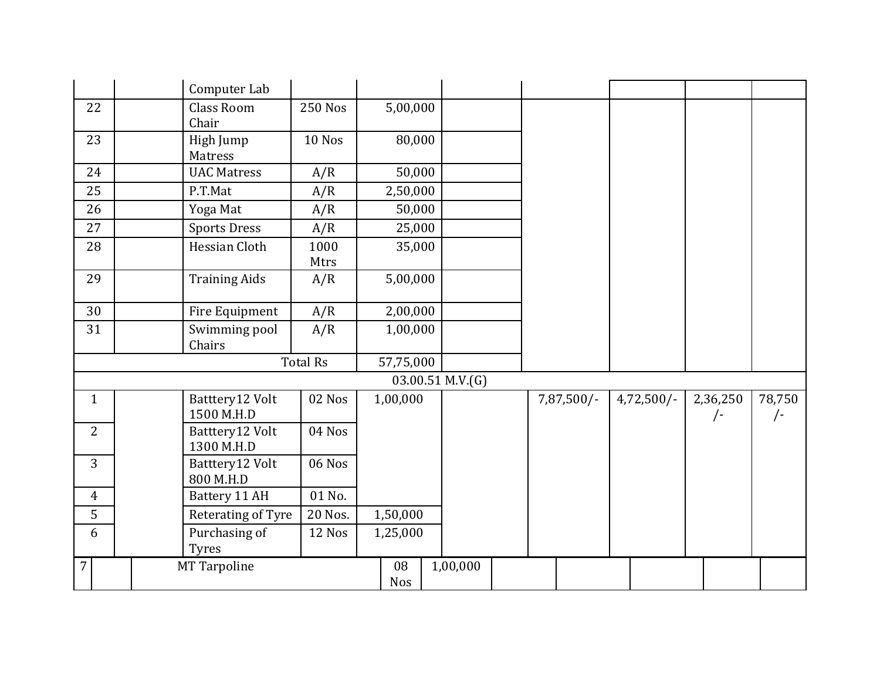|                | Computer Lab                  |                 |                  |                       |              |              |                   |                      |
|----------------|-------------------------------|-----------------|------------------|-----------------------|--------------|--------------|-------------------|----------------------|
| 22             | <b>Class Room</b><br>Chair    | <b>250 Nos</b>  | 5,00,000         |                       |              |              |                   |                      |
| 23             | High Jump<br>Matress          | 10 Nos          | 80,000           |                       |              |              |                   |                      |
| 24             | <b>UAC Matress</b>            | A/R             | 50,000           |                       |              |              |                   |                      |
| 25             | P.T.Mat                       | A/R             | 2,50,000         |                       |              |              |                   |                      |
| 26             | Yoga Mat                      | A/R             | 50,000           |                       |              |              |                   |                      |
| 27             | <b>Sports Dress</b>           | A/R             | 25,000           |                       |              |              |                   |                      |
| 28             | Hessian Cloth                 | 1000<br>Mtrs    | 35,000           |                       |              |              |                   |                      |
| 29             | <b>Training Aids</b>          | A/R             | 5,00,000         |                       |              |              |                   |                      |
| 30             | Fire Equipment                | A/R             | 2,00,000         |                       |              |              |                   |                      |
| 31             | Swimming pool<br>Chairs       | A/R             | 1,00,000         |                       |              |              |                   |                      |
|                |                               | <b>Total Rs</b> | 57,75,000        |                       |              |              |                   |                      |
|                |                               |                 |                  | $03.00.51$ M.V. $(G)$ |              |              |                   |                      |
| $\mathbf{1}$   | Batttery12 Volt<br>1500 M.H.D | 02 Nos          | 1,00,000         |                       | $7,87,500/-$ | $4,72,500/-$ | 2,36,250<br>$/$ - | 78,750<br>$\sqrt{-}$ |
| $\overline{2}$ | Batttery12 Volt<br>1300 M.H.D | 04 Nos          |                  |                       |              |              |                   |                      |
| 3              | Batttery12 Volt<br>800 M.H.D  | 06 Nos          |                  |                       |              |              |                   |                      |
| $\overline{4}$ | Battery 11 AH                 | 01 No.          |                  |                       |              |              |                   |                      |
| 5              | Reterating of Tyre            | 20 Nos.         | 1,50,000         |                       |              |              |                   |                      |
| 6              | Purchasing of<br><b>Tyres</b> | 12 Nos          | 1,25,000         |                       |              |              |                   |                      |
| $\overline{7}$ | MT Tarpoline                  |                 | 08<br><b>Nos</b> | 1,00,000              |              |              |                   |                      |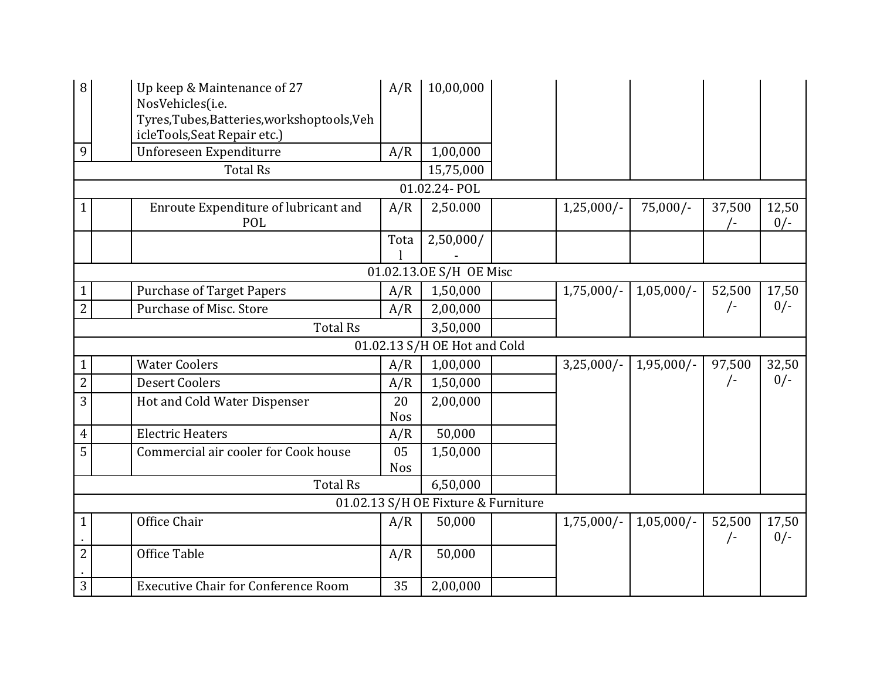| 8                   | Up keep & Maintenance of 27<br>NosVehicles(i.e.<br>Tyres, Tubes, Batteries, workshoptools, Veh<br>icleTools, Seat Repair etc.) | A/R        | 10,00,000                           |              |              |            |                |
|---------------------|--------------------------------------------------------------------------------------------------------------------------------|------------|-------------------------------------|--------------|--------------|------------|----------------|
| 9                   | Unforeseen Expenditurre                                                                                                        | A/R        | 1,00,000                            |              |              |            |                |
|                     | <b>Total Rs</b>                                                                                                                |            | 15,75,000                           |              |              |            |                |
|                     |                                                                                                                                |            | 01.02.24- POL                       |              |              |            |                |
| $\mathbf{1}$        | Enroute Expenditure of lubricant and<br>POL                                                                                    | A/R        | 2,50.000                            | $1,25,000/-$ | $75,000/-$   | 37,500     | 12,50<br>$0/-$ |
|                     |                                                                                                                                | Tota       | 2,50,000/                           |              |              |            |                |
|                     |                                                                                                                                |            | 01.02.13.0E S/H OE Misc             |              |              |            |                |
| $\mathbf{1}$        | <b>Purchase of Target Papers</b>                                                                                               | A/R        | 1,50,000                            | $1,75,000/-$ | $1,05,000/-$ | 52,500     | 17,50          |
| $\overline{2}$      | Purchase of Misc. Store                                                                                                        | A/R        | 2,00,000                            |              |              | $/$ -      | $0/-$          |
|                     | <b>Total Rs</b>                                                                                                                |            | 3,50,000                            |              |              |            |                |
|                     |                                                                                                                                |            | 01.02.13 S/H OE Hot and Cold        |              |              |            |                |
|                     |                                                                                                                                |            |                                     |              |              |            |                |
| $\mathbf{1}$        | <b>Water Coolers</b>                                                                                                           | A/R        | 1,00,000                            | $3,25,000/-$ | $1,95,000/-$ | 97,500     | 32,50          |
| $\overline{2}$      | <b>Desert Coolers</b>                                                                                                          | A/R        | 1,50,000                            |              |              | $\sqrt{-}$ | $0/-$          |
| 3                   | Hot and Cold Water Dispenser                                                                                                   | 20         | 2,00,000                            |              |              |            |                |
|                     |                                                                                                                                | <b>Nos</b> |                                     |              |              |            |                |
| $\overline{4}$<br>5 | <b>Electric Heaters</b><br>Commercial air cooler for Cook house                                                                | A/R<br>05  | 50,000                              |              |              |            |                |
|                     |                                                                                                                                | <b>Nos</b> | 1,50,000                            |              |              |            |                |
|                     | <b>Total Rs</b>                                                                                                                |            | 6,50,000                            |              |              |            |                |
|                     |                                                                                                                                |            | 01.02.13 S/H OE Fixture & Furniture |              |              |            |                |
| $\mathbf{1}$        | Office Chair                                                                                                                   | A/R        | 50,000                              | $1,75,000/-$ | $1,05,000/-$ | 52,500     | 17,50          |
|                     |                                                                                                                                |            |                                     |              |              | $\sqrt{-}$ | $0/-$          |
| $\overline{2}$      | Office Table                                                                                                                   | A/R        | 50,000                              |              |              |            |                |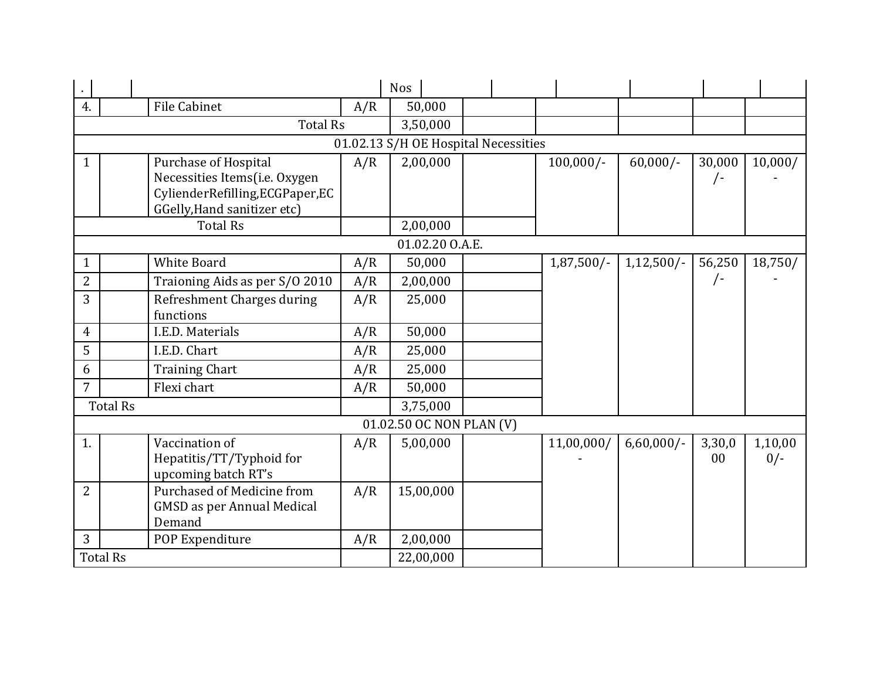|              |                                   |     | <b>Nos</b>                           |              |              |            |         |
|--------------|-----------------------------------|-----|--------------------------------------|--------------|--------------|------------|---------|
| 4.           | <b>File Cabinet</b>               | A/R | 50,000                               |              |              |            |         |
|              | <b>Total Rs</b>                   |     | 3,50,000                             |              |              |            |         |
|              |                                   |     | 01.02.13 S/H OE Hospital Necessities |              |              |            |         |
| $\mathbf{1}$ | <b>Purchase of Hospital</b>       | A/R | 2,00,000                             | $100,000/-$  | $60,000/-$   | 30,000     | 10,000/ |
|              | Necessities Items(i.e. Oxygen     |     |                                      |              |              | /-         |         |
|              | CylienderRefilling, ECGPaper, EC  |     |                                      |              |              |            |         |
|              | GGelly, Hand sanitizer etc)       |     |                                      |              |              |            |         |
|              | <b>Total Rs</b>                   |     | 2,00,000                             |              |              |            |         |
|              |                                   |     | 01.02.20 O.A.E.                      |              |              |            |         |
| $\mathbf{1}$ | White Board                       | A/R | 50,000                               | $1,87,500/-$ | $1,12,500/-$ | 56,250     | 18,750/ |
| 2            | Traioning Aids as per S/O 2010    | A/R | 2,00,000                             |              |              | $\sqrt{-}$ |         |
| 3            | Refreshment Charges during        | A/R | 25,000                               |              |              |            |         |
|              | functions                         |     |                                      |              |              |            |         |
| 4            | I.E.D. Materials                  | A/R | 50,000                               |              |              |            |         |
| 5            | I.E.D. Chart                      | A/R | 25,000                               |              |              |            |         |
| 6            | <b>Training Chart</b>             | A/R | 25,000                               |              |              |            |         |
| 7            | Flexi chart                       | A/R | 50,000                               |              |              |            |         |
|              | <b>Total Rs</b>                   |     | 3,75,000                             |              |              |            |         |
|              |                                   |     | 01.02.50 OC NON PLAN (V)             |              |              |            |         |
| 1.           | Vaccination of                    | A/R | 5,00,000                             | 11,00,000/   | $6,60,000/-$ | 3,30,0     | 1,10,00 |
|              | Hepatitis/TT/Typhoid for          |     |                                      |              |              | $00\,$     | $0/-$   |
|              | upcoming batch RT's               |     |                                      |              |              |            |         |
| 2            | <b>Purchased of Medicine from</b> | A/R | 15,00,000                            |              |              |            |         |
|              | <b>GMSD</b> as per Annual Medical |     |                                      |              |              |            |         |
|              | Demand                            |     |                                      |              |              |            |         |
| 3            | POP Expenditure                   | A/R | 2,00,000                             |              |              |            |         |
|              | <b>Total Rs</b>                   |     | 22,00,000                            |              |              |            |         |